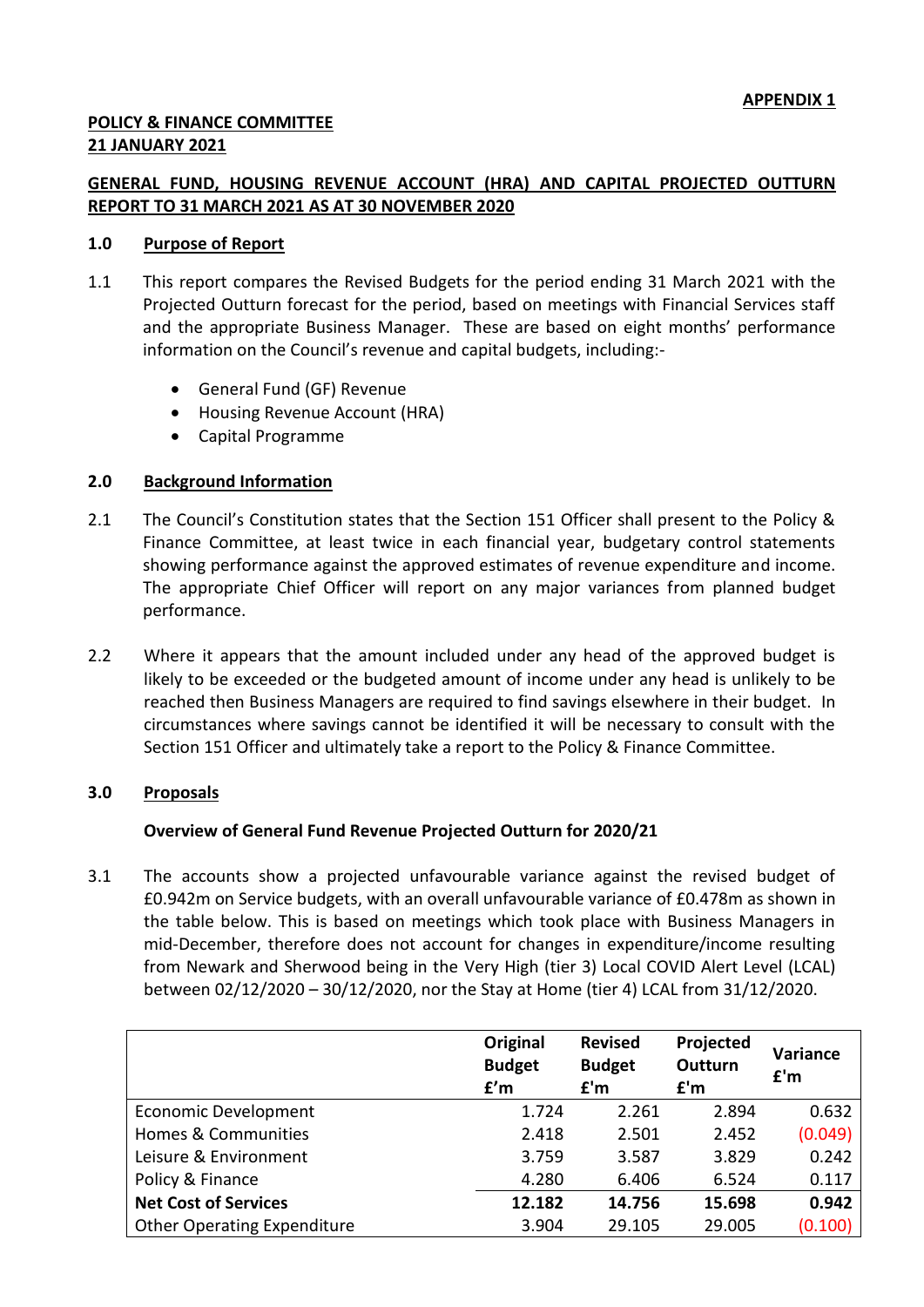# **POLICY & FINANCE COMMITTEE 21 JANUARY 2021**

# **GENERAL FUND, HOUSING REVENUE ACCOUNT (HRA) AND CAPITAL PROJECTED OUTTURN REPORT TO 31 MARCH 2021 AS AT 30 NOVEMBER 2020**

### **1.0 Purpose of Report**

- 1.1 This report compares the Revised Budgets for the period ending 31 March 2021 with the Projected Outturn forecast for the period, based on meetings with Financial Services staff and the appropriate Business Manager. These are based on eight months' performance information on the Council's revenue and capital budgets, including:-
	- General Fund (GF) Revenue
	- Housing Revenue Account (HRA)
	- Capital Programme

#### **2.0 Background Information**

- 2.1 The Council's Constitution states that the Section 151 Officer shall present to the Policy & Finance Committee, at least twice in each financial year, budgetary control statements showing performance against the approved estimates of revenue expenditure and income. The appropriate Chief Officer will report on any major variances from planned budget performance.
- 2.2 Where it appears that the amount included under any head of the approved budget is likely to be exceeded or the budgeted amount of income under any head is unlikely to be reached then Business Managers are required to find savings elsewhere in their budget. In circumstances where savings cannot be identified it will be necessary to consult with the Section 151 Officer and ultimately take a report to the Policy & Finance Committee.

#### **3.0 Proposals**

# **Overview of General Fund Revenue Projected Outturn for 2020/21**

3.1 The accounts show a projected unfavourable variance against the revised budget of £0.942m on Service budgets, with an overall unfavourable variance of £0.478m as shown in the table below. This is based on meetings which took place with Business Managers in mid-December, therefore does not account for changes in expenditure/income resulting from Newark and Sherwood being in the Very High (tier 3) Local COVID Alert Level (LCAL) between 02/12/2020 – 30/12/2020, nor the Stay at Home (tier 4) LCAL from 31/12/2020.

|                                    | Original<br><b>Budget</b><br>f'm | <b>Revised</b><br><b>Budget</b><br>f'm | Projected<br>Outturn<br>f'm | Variance<br>f'm |
|------------------------------------|----------------------------------|----------------------------------------|-----------------------------|-----------------|
| Economic Development               | 1.724                            | 2.261                                  | 2.894                       | 0.632           |
| Homes & Communities                | 2.418                            | 2.501                                  | 2.452                       | (0.049)         |
| Leisure & Environment              | 3.759                            | 3.587                                  | 3.829                       | 0.242           |
| Policy & Finance                   | 4.280                            | 6.406                                  | 6.524                       | 0.117           |
| <b>Net Cost of Services</b>        | 12.182                           | 14.756                                 | 15.698                      | 0.942           |
| <b>Other Operating Expenditure</b> | 3.904                            | 29.105                                 | 29.005                      | (0.100)         |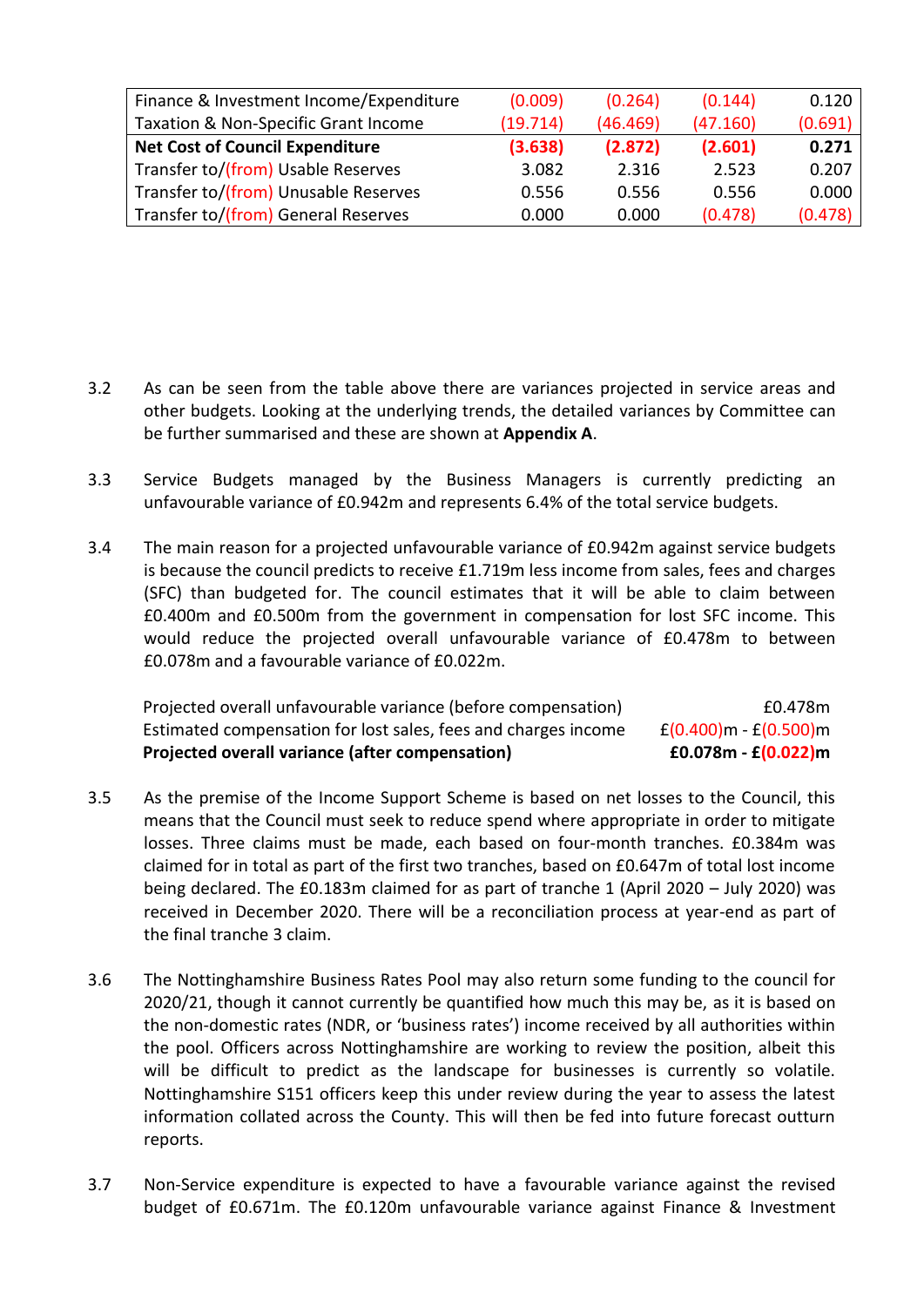| Finance & Investment Income/Expenditure | (0.009)  | (0.264)  | (0.144)  | 0.120   |
|-----------------------------------------|----------|----------|----------|---------|
| Taxation & Non-Specific Grant Income    | (19.714) | (46.469) | (47.160) | (0.691) |
| <b>Net Cost of Council Expenditure</b>  | (3.638)  | (2.872)  | (2.601)  | 0.271   |
| Transfer to/(from) Usable Reserves      | 3.082    | 2.316    | 2.523    | 0.207   |
| Transfer to/(from) Unusable Reserves    | 0.556    | 0.556    | 0.556    | 0.000   |
| Transfer to/(from) General Reserves     | 0.000    | 0.000    | (0.478)  | (0.478) |

- 3.2 As can be seen from the table above there are variances projected in service areas and other budgets. Looking at the underlying trends, the detailed variances by Committee can be further summarised and these are shown at **Appendix A**.
- 3.3 Service Budgets managed by the Business Managers is currently predicting an unfavourable variance of £0.942m and represents 6.4% of the total service budgets.
- 3.4 The main reason for a projected unfavourable variance of £0.942m against service budgets is because the council predicts to receive £1.719m less income from sales, fees and charges (SFC) than budgeted for. The council estimates that it will be able to claim between £0.400m and £0.500m from the government in compensation for lost SFC income. This would reduce the projected overall unfavourable variance of £0.478m to between £0.078m and a favourable variance of £0.022m.

| Projected overall variance (after compensation)                | £0.078m - £ $(0.022)$ m     |
|----------------------------------------------------------------|-----------------------------|
| Estimated compensation for lost sales, fees and charges income | $f(0.400)$ m - $f(0.500)$ m |
| Projected overall unfavourable variance (before compensation)  | £0.478m                     |

- 3.5 As the premise of the Income Support Scheme is based on net losses to the Council, this means that the Council must seek to reduce spend where appropriate in order to mitigate losses. Three claims must be made, each based on four-month tranches. £0.384m was claimed for in total as part of the first two tranches, based on £0.647m of total lost income being declared. The £0.183m claimed for as part of tranche 1 (April 2020 – July 2020) was received in December 2020. There will be a reconciliation process at year-end as part of the final tranche 3 claim.
- 3.6 The Nottinghamshire Business Rates Pool may also return some funding to the council for 2020/21, though it cannot currently be quantified how much this may be, as it is based on the non-domestic rates (NDR, or 'business rates') income received by all authorities within the pool. Officers across Nottinghamshire are working to review the position, albeit this will be difficult to predict as the landscape for businesses is currently so volatile. Nottinghamshire S151 officers keep this under review during the year to assess the latest information collated across the County. This will then be fed into future forecast outturn reports.
- 3.7 Non-Service expenditure is expected to have a favourable variance against the revised budget of £0.671m. The £0.120m unfavourable variance against Finance & Investment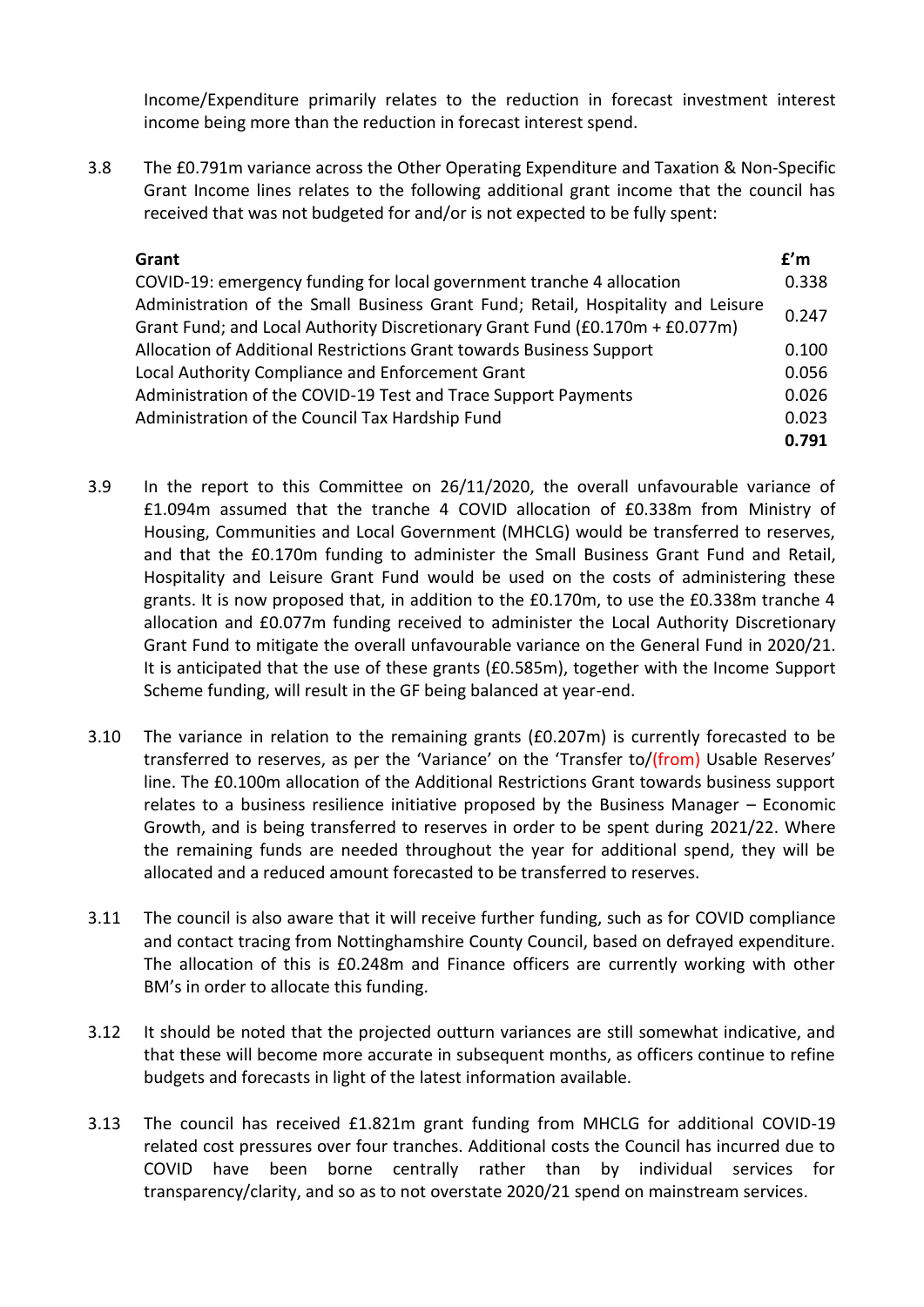Income/Expenditure primarily relates to the reduction in forecast investment interest income being more than the reduction in forecast interest spend.

3.8 The £0.791m variance across the Other Operating Expenditure and Taxation & Non-Specific Grant Income lines relates to the following additional grant income that the council has received that was not budgeted for and/or is not expected to be fully spent:

| Grant                                                                            | f'm   |
|----------------------------------------------------------------------------------|-------|
| COVID-19: emergency funding for local government tranche 4 allocation            | 0.338 |
| Administration of the Small Business Grant Fund; Retail, Hospitality and Leisure | 0.247 |
| Grant Fund; and Local Authority Discretionary Grant Fund (£0.170m + £0.077m)     |       |
| Allocation of Additional Restrictions Grant towards Business Support             | 0.100 |
| Local Authority Compliance and Enforcement Grant                                 | 0.056 |
| Administration of the COVID-19 Test and Trace Support Payments                   | 0.026 |
| Administration of the Council Tax Hardship Fund                                  | 0.023 |
|                                                                                  | 0.791 |

- 3.9 In the report to this Committee on 26/11/2020, the overall unfavourable variance of £1.094m assumed that the tranche 4 COVID allocation of £0.338m from Ministry of Housing, Communities and Local Government (MHCLG) would be transferred to reserves, and that the £0.170m funding to administer the Small Business Grant Fund and Retail, Hospitality and Leisure Grant Fund would be used on the costs of administering these grants. It is now proposed that, in addition to the £0.170m, to use the £0.338m tranche 4 allocation and £0.077m funding received to administer the Local Authority Discretionary Grant Fund to mitigate the overall unfavourable variance on the General Fund in 2020/21. It is anticipated that the use of these grants (£0.585m), together with the Income Support Scheme funding, will result in the GF being balanced at year-end.
- 3.10 The variance in relation to the remaining grants (£0.207m) is currently forecasted to be transferred to reserves, as per the 'Variance' on the 'Transfer to/(from) Usable Reserves' line. The £0.100m allocation of the Additional Restrictions Grant towards business support relates to a business resilience initiative proposed by the Business Manager – Economic Growth, and is being transferred to reserves in order to be spent during 2021/22. Where the remaining funds are needed throughout the year for additional spend, they will be allocated and a reduced amount forecasted to be transferred to reserves.
- 3.11 The council is also aware that it will receive further funding, such as for COVID compliance and contact tracing from Nottinghamshire County Council, based on defrayed expenditure. The allocation of this is £0.248m and Finance officers are currently working with other BM's in order to allocate this funding.
- 3.12 It should be noted that the projected outturn variances are still somewhat indicative, and that these will become more accurate in subsequent months, as officers continue to refine budgets and forecasts in light of the latest information available.
- 3.13 The council has received £1.821m grant funding from MHCLG for additional COVID-19 related cost pressures over four tranches. Additional costs the Council has incurred due to COVID have been borne centrally rather than by individual services for transparency/clarity, and so as to not overstate 2020/21 spend on mainstream services.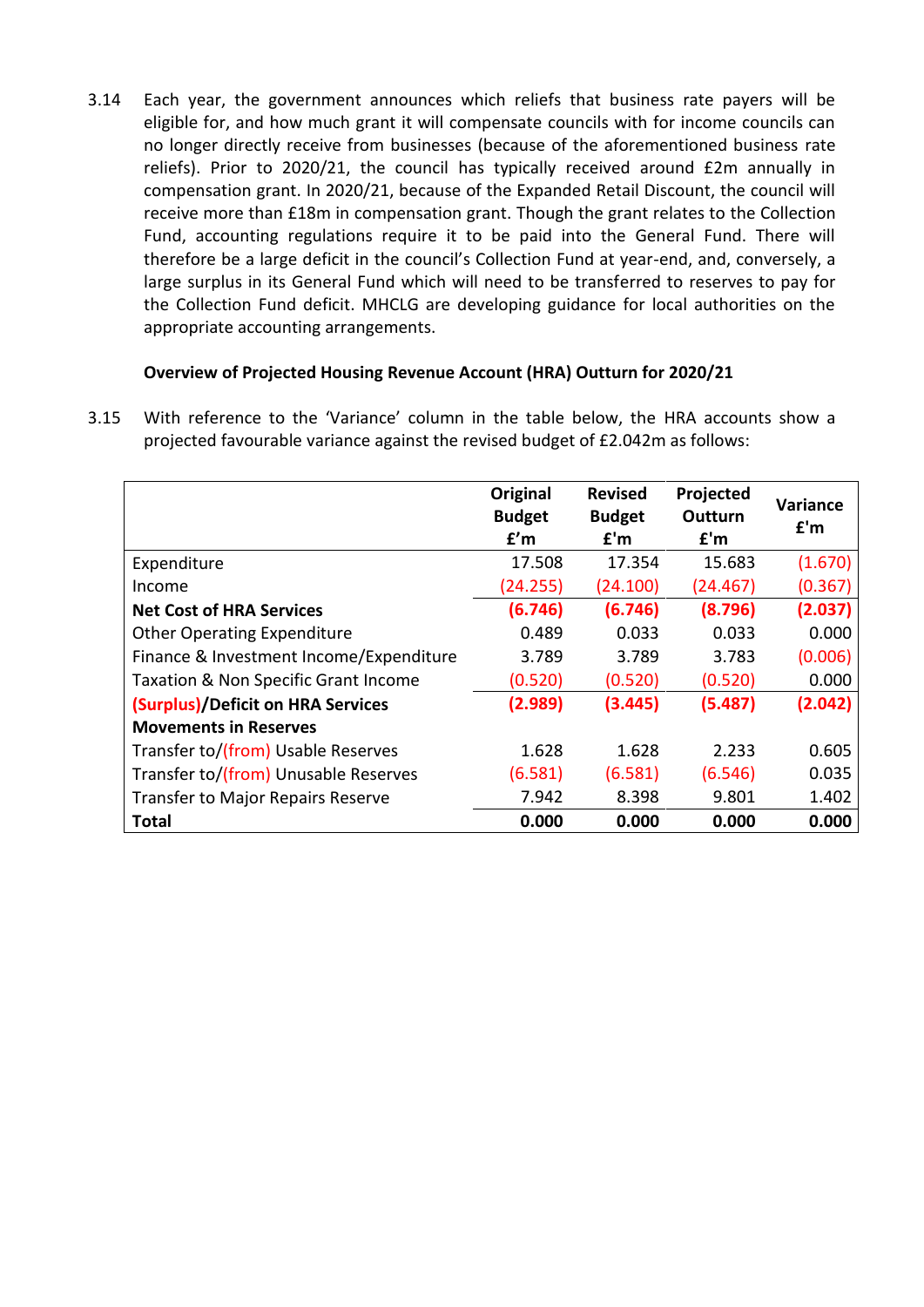3.14 Each year, the government announces which reliefs that business rate payers will be eligible for, and how much grant it will compensate councils with for income councils can no longer directly receive from businesses (because of the aforementioned business rate reliefs). Prior to 2020/21, the council has typically received around £2m annually in compensation grant. In 2020/21, because of the Expanded Retail Discount, the council will receive more than £18m in compensation grant. Though the grant relates to the Collection Fund, accounting regulations require it to be paid into the General Fund. There will therefore be a large deficit in the council's Collection Fund at year-end, and, conversely, a large surplus in its General Fund which will need to be transferred to reserves to pay for the Collection Fund deficit. MHCLG are developing guidance for local authorities on the appropriate accounting arrangements.

# **Overview of Projected Housing Revenue Account (HRA) Outturn for 2020/21**

3.15 With reference to the 'Variance' column in the table below, the HRA accounts show a projected favourable variance against the revised budget of £2.042m as follows:

|                                          | Original<br><b>Budget</b><br>f'm | <b>Revised</b><br><b>Budget</b><br>f'm | Projected<br>Outturn<br>f'm | Variance<br>f'm |
|------------------------------------------|----------------------------------|----------------------------------------|-----------------------------|-----------------|
| Expenditure                              | 17.508                           | 17.354                                 | 15.683                      | (1.670)         |
| Income                                   | (24.255)                         | (24.100)                               | (24.467)                    | (0.367)         |
| <b>Net Cost of HRA Services</b>          | (6.746)                          | (6.746)                                | (8.796)                     | (2.037)         |
| <b>Other Operating Expenditure</b>       | 0.489                            | 0.033                                  | 0.033                       | 0.000           |
| Finance & Investment Income/Expenditure  | 3.789                            | 3.789                                  | 3.783                       | (0.006)         |
| Taxation & Non Specific Grant Income     | (0.520)                          | (0.520)                                | (0.520)                     | 0.000           |
| (Surplus)/Deficit on HRA Services        | (2.989)                          | (3.445)                                | (5.487)                     | (2.042)         |
| <b>Movements in Reserves</b>             |                                  |                                        |                             |                 |
| Transfer to/(from) Usable Reserves       | 1.628                            | 1.628                                  | 2.233                       | 0.605           |
| Transfer to/(from) Unusable Reserves     | (6.581)                          | (6.581)                                | (6.546)                     | 0.035           |
| <b>Transfer to Major Repairs Reserve</b> | 7.942                            | 8.398                                  | 9.801                       | 1.402           |
| <b>Total</b>                             | 0.000                            | 0.000                                  | 0.000                       | 0.000           |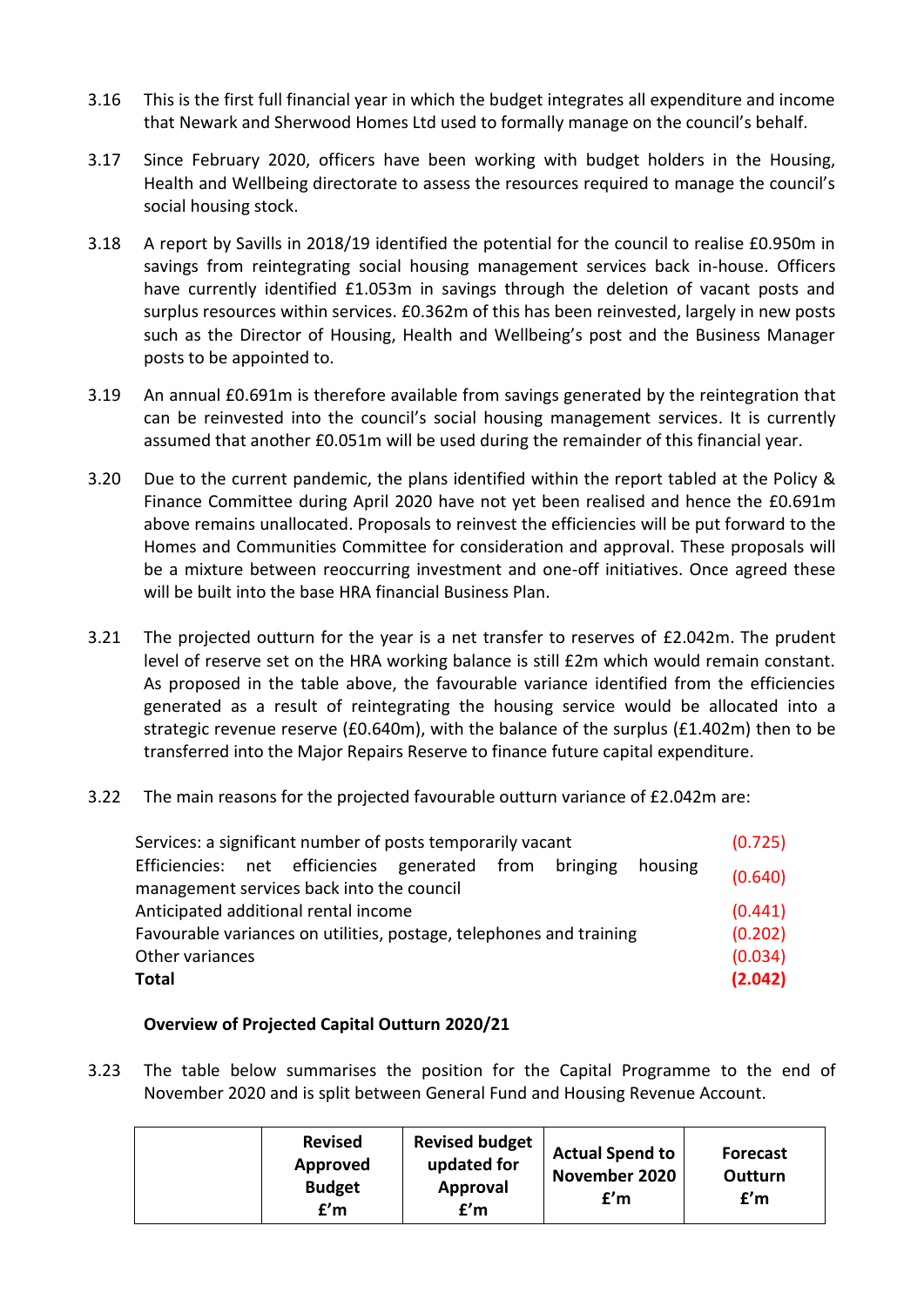- 3.16 This is the first full financial year in which the budget integrates all expenditure and income that Newark and Sherwood Homes Ltd used to formally manage on the council's behalf.
- 3.17 Since February 2020, officers have been working with budget holders in the Housing, Health and Wellbeing directorate to assess the resources required to manage the council's social housing stock.
- 3.18 A report by Savills in 2018/19 identified the potential for the council to realise £0.950m in savings from reintegrating social housing management services back in-house. Officers have currently identified £1.053m in savings through the deletion of vacant posts and surplus resources within services. £0.362m of this has been reinvested, largely in new posts such as the Director of Housing, Health and Wellbeing's post and the Business Manager posts to be appointed to.
- 3.19 An annual £0.691m is therefore available from savings generated by the reintegration that can be reinvested into the council's social housing management services. It is currently assumed that another £0.051m will be used during the remainder of this financial year.
- 3.20 Due to the current pandemic, the plans identified within the report tabled at the Policy & Finance Committee during April 2020 have not yet been realised and hence the £0.691m above remains unallocated. Proposals to reinvest the efficiencies will be put forward to the Homes and Communities Committee for consideration and approval. These proposals will be a mixture between reoccurring investment and one-off initiatives. Once agreed these will be built into the base HRA financial Business Plan.
- 3.21 The projected outturn for the year is a net transfer to reserves of £2.042m. The prudent level of reserve set on the HRA working balance is still £2m which would remain constant. As proposed in the table above, the favourable variance identified from the efficiencies generated as a result of reintegrating the housing service would be allocated into a strategic revenue reserve (£0.640m), with the balance of the surplus (£1.402m) then to be transferred into the Major Repairs Reserve to finance future capital expenditure.
- 3.22 The main reasons for the projected favourable outturn variance of £2.042m are:

| Services: a significant number of posts temporarily vacant          |  |  |         | (0.725) |
|---------------------------------------------------------------------|--|--|---------|---------|
| Efficiencies: net efficiencies generated from bringing              |  |  | housing | (0.640) |
| management services back into the council                           |  |  |         |         |
| Anticipated additional rental income                                |  |  |         | (0.441) |
| Favourable variances on utilities, postage, telephones and training |  |  |         | (0.202) |
| Other variances                                                     |  |  |         | (0.034) |
| <b>Total</b>                                                        |  |  |         | (2.042) |
|                                                                     |  |  |         |         |

# **Overview of Projected Capital Outturn 2020/21**

3.23 The table below summarises the position for the Capital Programme to the end of November 2020 and is split between General Fund and Housing Revenue Account.

|  | <b>Revised</b><br>Approved<br><b>Budget</b><br>f'm | <b>Revised budget</b><br>updated for<br>Approval<br>£'m | <b>Actual Spend to</b><br>November 2020<br>f'm | <b>Forecast</b><br>Outturn<br>f'm |
|--|----------------------------------------------------|---------------------------------------------------------|------------------------------------------------|-----------------------------------|
|--|----------------------------------------------------|---------------------------------------------------------|------------------------------------------------|-----------------------------------|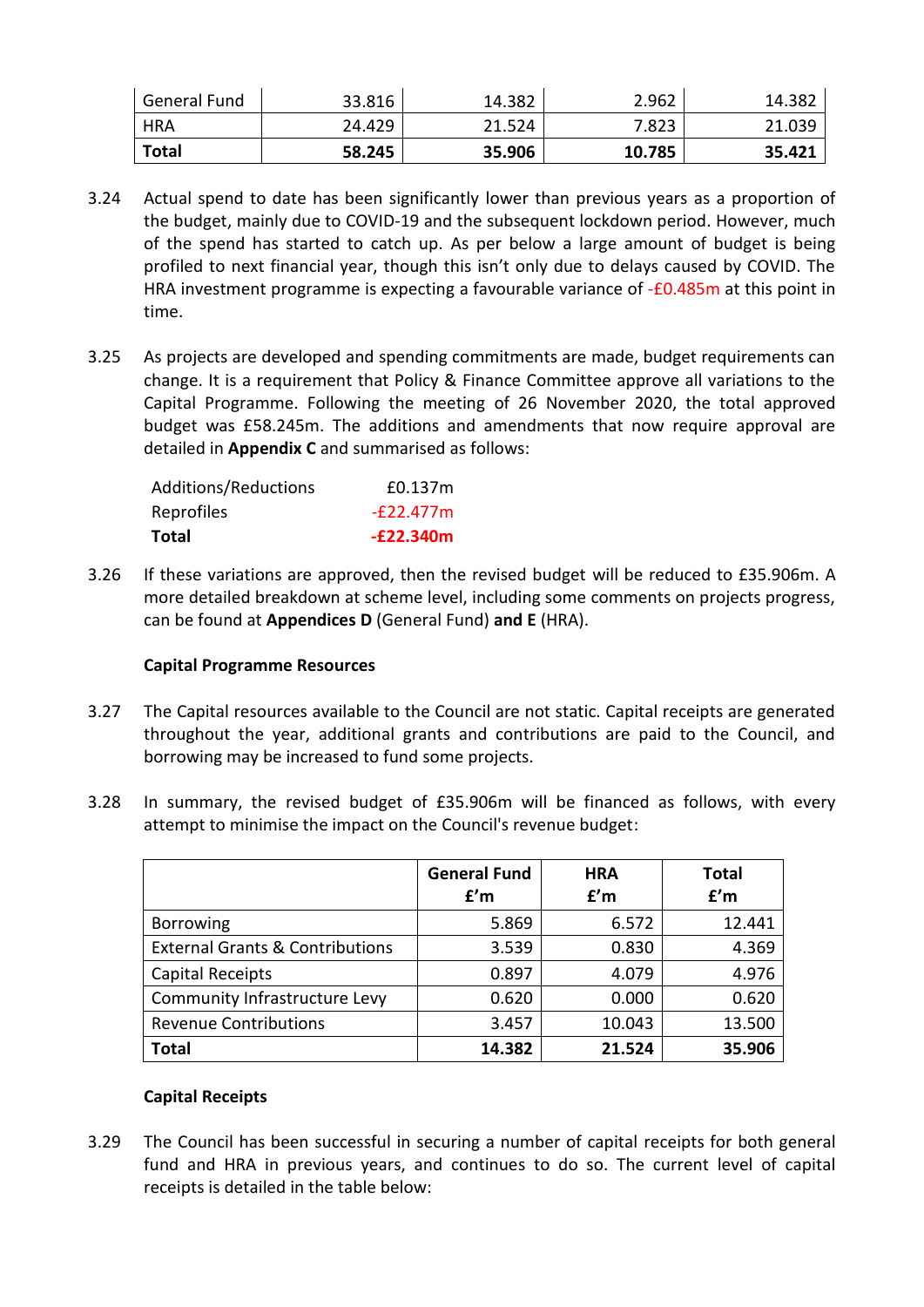| General Fund | 33.816 | 14.382 | 2.962  | 14.382 |
|--------------|--------|--------|--------|--------|
| HRA          | 24.429 | 21.524 | 7.823  | 21.039 |
| <b>Total</b> | 58.245 | 35.906 | 10.785 | 35.421 |

- 3.24 Actual spend to date has been significantly lower than previous years as a proportion of the budget, mainly due to COVID-19 and the subsequent lockdown period. However, much of the spend has started to catch up. As per below a large amount of budget is being profiled to next financial year, though this isn't only due to delays caused by COVID. The HRA investment programme is expecting a favourable variance of -£0.485m at this point in time.
- 3.25 As projects are developed and spending commitments are made, budget requirements can change. It is a requirement that Policy & Finance Committee approve all variations to the Capital Programme. Following the meeting of 26 November 2020, the total approved budget was £58.245m. The additions and amendments that now require approval are detailed in **Appendix C** and summarised as follows:

| Additions/Reductions | £0.137m     |
|----------------------|-------------|
| Reprofiles           | -f22.477m   |
| <b>Total</b>         | $-E22.340m$ |

3.26 If these variations are approved, then the revised budget will be reduced to £35.906m. A more detailed breakdown at scheme level, including some comments on projects progress, can be found at **Appendices D** (General Fund) **and E** (HRA).

# **Capital Programme Resources**

- 3.27 The Capital resources available to the Council are not static. Capital receipts are generated throughout the year, additional grants and contributions are paid to the Council, and borrowing may be increased to fund some projects.
- 3.28 In summary, the revised budget of £35.906m will be financed as follows, with every attempt to minimise the impact on the Council's revenue budget:

|                                            | <b>General Fund</b><br>f'm | <b>HRA</b><br>f'm | <b>Total</b><br>f'm |
|--------------------------------------------|----------------------------|-------------------|---------------------|
| <b>Borrowing</b>                           | 5.869                      | 6.572             | 12.441              |
| <b>External Grants &amp; Contributions</b> | 3.539                      | 0.830             | 4.369               |
| <b>Capital Receipts</b>                    | 0.897                      | 4.079             | 4.976               |
| Community Infrastructure Levy              | 0.620                      | 0.000             | 0.620               |
| <b>Revenue Contributions</b>               | 3.457                      | 10.043            | 13.500              |
| <b>Total</b>                               | 14.382                     | 21.524            | 35.906              |

#### **Capital Receipts**

3.29 The Council has been successful in securing a number of capital receipts for both general fund and HRA in previous years, and continues to do so. The current level of capital receipts is detailed in the table below: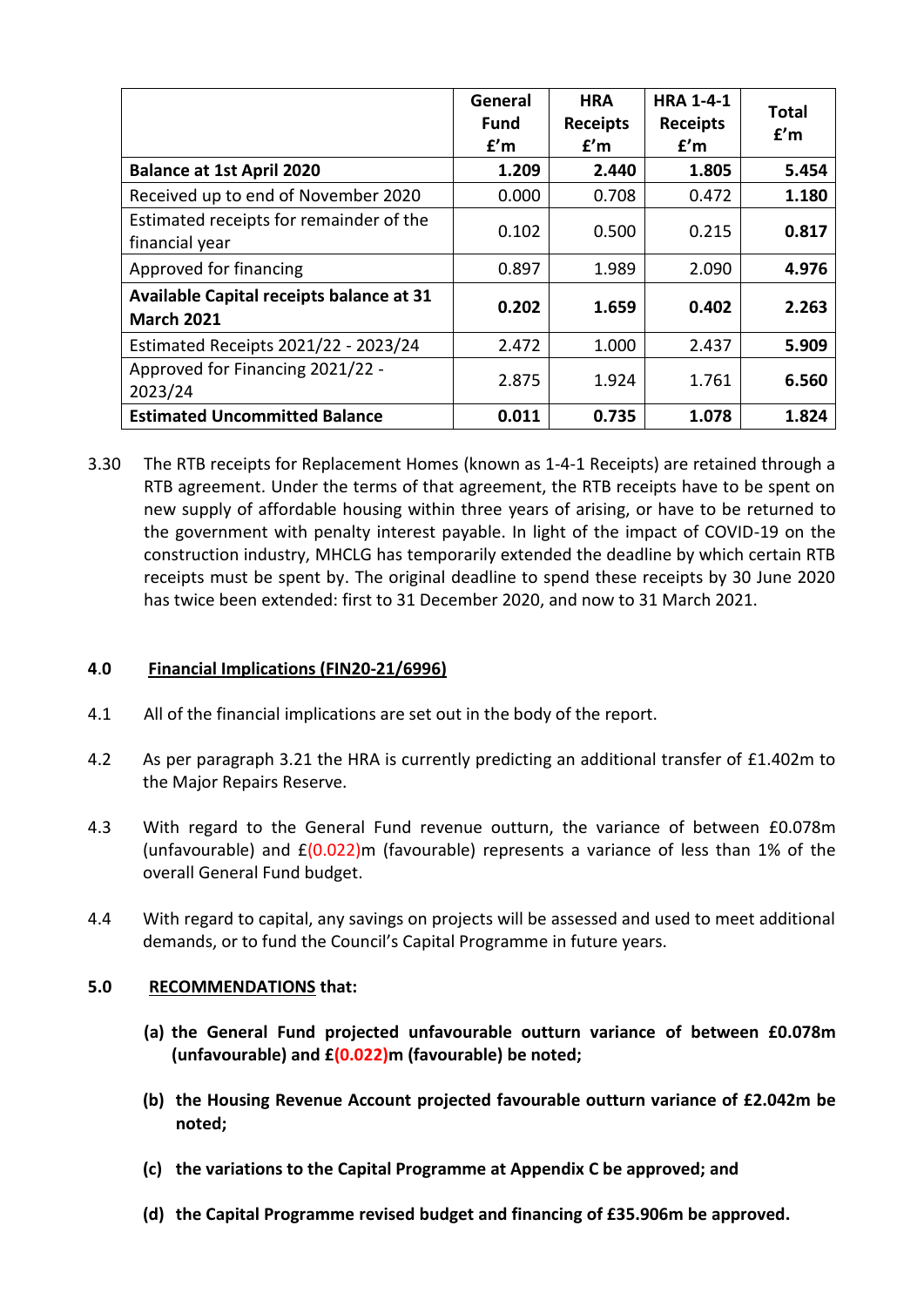|                                                               | General<br><b>Fund</b><br>f'm | <b>HRA</b><br><b>Receipts</b><br>f'm | <b>HRA 1-4-1</b><br><b>Receipts</b><br>f'm | Total<br>f'm |
|---------------------------------------------------------------|-------------------------------|--------------------------------------|--------------------------------------------|--------------|
| <b>Balance at 1st April 2020</b>                              | 1.209                         | 2.440                                | 1.805                                      | 5.454        |
| Received up to end of November 2020                           | 0.000                         | 0.708                                | 0.472                                      | 1.180        |
| Estimated receipts for remainder of the<br>financial year     | 0.102                         | 0.500                                | 0.215                                      | 0.817        |
| Approved for financing                                        | 0.897                         | 1.989                                | 2.090                                      | 4.976        |
| Available Capital receipts balance at 31<br><b>March 2021</b> | 0.202                         | 1.659                                | 0.402                                      | 2.263        |
| Estimated Receipts 2021/22 - 2023/24                          | 2.472                         | 1.000                                | 2.437                                      | 5.909        |
| Approved for Financing 2021/22 -<br>2023/24                   | 2.875                         | 1.924                                | 1.761                                      | 6.560        |
| <b>Estimated Uncommitted Balance</b>                          | 0.011                         | 0.735                                | 1.078                                      | 1.824        |

3.30 The RTB receipts for Replacement Homes (known as 1-4-1 Receipts) are retained through a RTB agreement. Under the terms of that agreement, the RTB receipts have to be spent on new supply of affordable housing within three years of arising, or have to be returned to the government with penalty interest payable. In light of the impact of COVID-19 on the construction industry, MHCLG has temporarily extended the deadline by which certain RTB receipts must be spent by. The original deadline to spend these receipts by 30 June 2020 has twice been extended: first to 31 December 2020, and now to 31 March 2021.

# **4**.**0 Financial Implications (FIN20-21/6996)**

- 4.1 All of the financial implications are set out in the body of the report.
- 4.2 As per paragraph 3.21 the HRA is currently predicting an additional transfer of £1.402m to the Major Repairs Reserve.
- 4.3 With regard to the General Fund revenue outturn, the variance of between £0.078m (unfavourable) and  $E(0.022)$ m (favourable) represents a variance of less than 1% of the overall General Fund budget.
- 4.4 With regard to capital, any savings on projects will be assessed and used to meet additional demands, or to fund the Council's Capital Programme in future years.

#### **5.0 RECOMMENDATIONS that:**

- **(a) the General Fund projected unfavourable outturn variance of between £0.078m (unfavourable) and £(0.022)m (favourable) be noted;**
- **(b) the Housing Revenue Account projected favourable outturn variance of £2.042m be noted;**
- **(c) the variations to the Capital Programme at Appendix C be approved; and**
- **(d) the Capital Programme revised budget and financing of £35.906m be approved.**